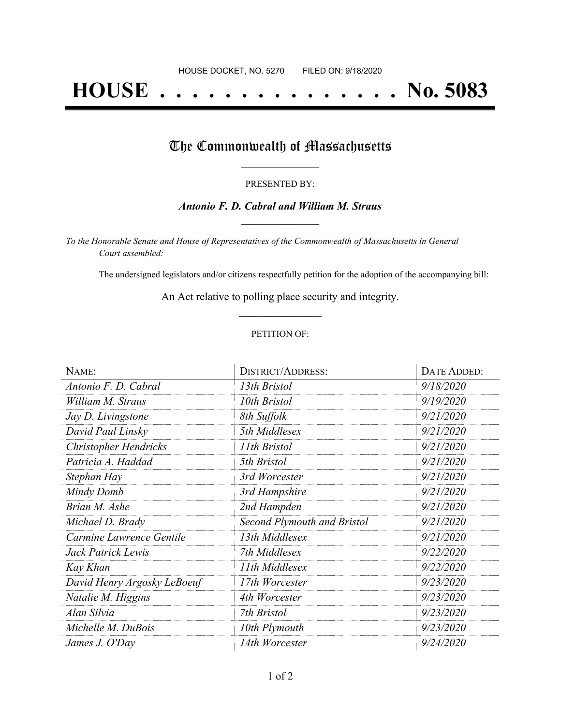# **HOUSE . . . . . . . . . . . . . . . No. 5083**

### The Commonwealth of Massachusetts

#### PRESENTED BY:

### *Antonio F. D. Cabral and William M. Straus* **\_\_\_\_\_\_\_\_\_\_\_\_\_\_\_\_\_**

*To the Honorable Senate and House of Representatives of the Commonwealth of Massachusetts in General Court assembled:*

The undersigned legislators and/or citizens respectfully petition for the adoption of the accompanying bill:

An Act relative to polling place security and integrity. **\_\_\_\_\_\_\_\_\_\_\_\_\_\_\_**

#### PETITION OF:

| NAME:                       | <b>DISTRICT/ADDRESS:</b>           | <b>DATE ADDED:</b> |
|-----------------------------|------------------------------------|--------------------|
| Antonio F. D. Cabral        | 13th Bristol                       | 9/18/2020          |
| William M. Straus           | 10th Bristol                       | 9/19/2020          |
| Jay D. Livingstone          | 8th Suffolk                        | 9/21/2020          |
| David Paul Linsky           | 5th Middlesex                      | 9/21/2020          |
| Christopher Hendricks       | 11th Bristol                       | 9/21/2020          |
| Patricia A. Haddad          | 5th Bristol                        | 9/21/2020          |
| Stephan Hay                 | 3rd Worcester                      | 9/21/2020          |
| Mindy Domb                  | 3rd Hampshire                      | 9/21/2020          |
| Brian M. Ashe               | 2nd Hampden                        | 9/21/2020          |
| Michael D. Brady            | <b>Second Plymouth and Bristol</b> | 9/21/2020          |
| Carmine Lawrence Gentile    | 13th Middlesex                     | 9/21/2020          |
| Jack Patrick Lewis          | 7th Middlesex                      | 9/22/2020          |
| Kay Khan                    | 11th Middlesex                     | 9/22/2020          |
| David Henry Argosky LeBoeuf | 17th Worcester                     | 9/23/2020          |
| Natalie M. Higgins          | 4th Worcester                      | 9/23/2020          |
| Alan Silvia                 | 7th Bristol                        | 9/23/2020          |
| Michelle M. DuBois          | 10th Plymouth                      | 9/23/2020          |
| James J. O'Day              | 14th Worcester                     | 9/24/2020          |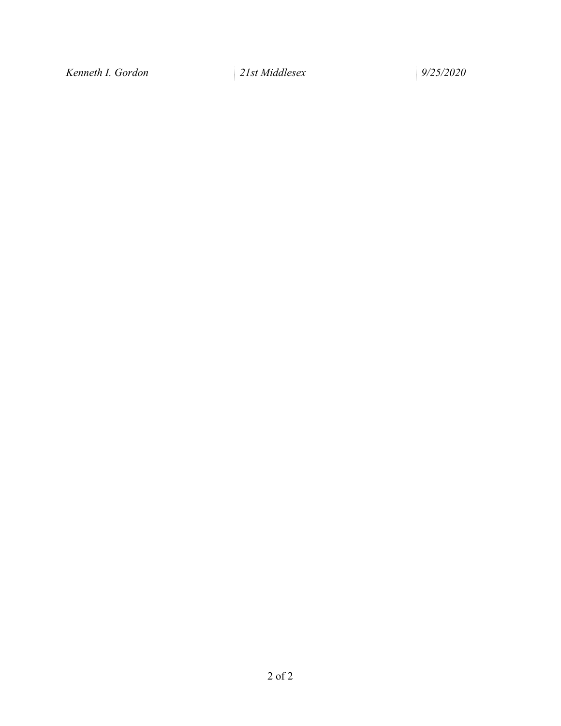*Kenneth I. Gordon 21st Middlesex 9/25/2020*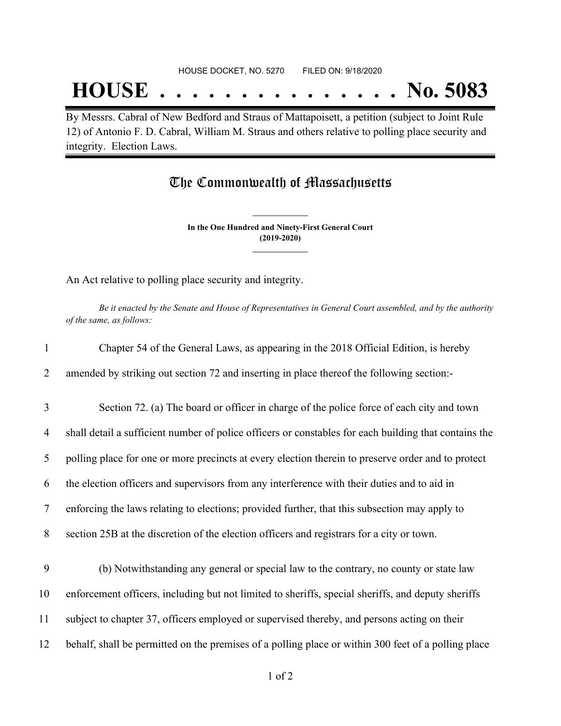## **HOUSE . . . . . . . . . . . . . . . No. 5083**

By Messrs. Cabral of New Bedford and Straus of Mattapoisett, a petition (subject to Joint Rule 12) of Antonio F. D. Cabral, William M. Straus and others relative to polling place security and integrity. Election Laws.

## The Commonwealth of Massachusetts

**In the One Hundred and Ninety-First General Court (2019-2020) \_\_\_\_\_\_\_\_\_\_\_\_\_\_\_**

**\_\_\_\_\_\_\_\_\_\_\_\_\_\_\_**

An Act relative to polling place security and integrity.

Be it enacted by the Senate and House of Representatives in General Court assembled, and by the authority *of the same, as follows:*

| $\mathbf{1}$ | Chapter 54 of the General Laws, as appearing in the 2018 Official Edition, is hereby                  |
|--------------|-------------------------------------------------------------------------------------------------------|
| 2            | amended by striking out section 72 and inserting in place thereof the following section:-             |
| 3            | Section 72. (a) The board or officer in charge of the police force of each city and town              |
| 4            | shall detail a sufficient number of police officers or constables for each building that contains the |
| 5            | polling place for one or more precincts at every election therein to preserve order and to protect    |
| 6            | the election officers and supervisors from any interference with their duties and to aid in           |
| 7            | enforcing the laws relating to elections; provided further, that this subsection may apply to         |
| 8            | section 25B at the discretion of the election officers and registrars for a city or town.             |
| 9            | (b) Notwithstanding any general or special law to the contrary, no county or state law                |
| 10           | enforcement officers, including but not limited to sheriffs, special sheriffs, and deputy sheriffs    |
| 11           | subject to chapter 37, officers employed or supervised thereby, and persons acting on their           |
| 12           | behalf, shall be permitted on the premises of a polling place or within 300 feet of a polling place   |